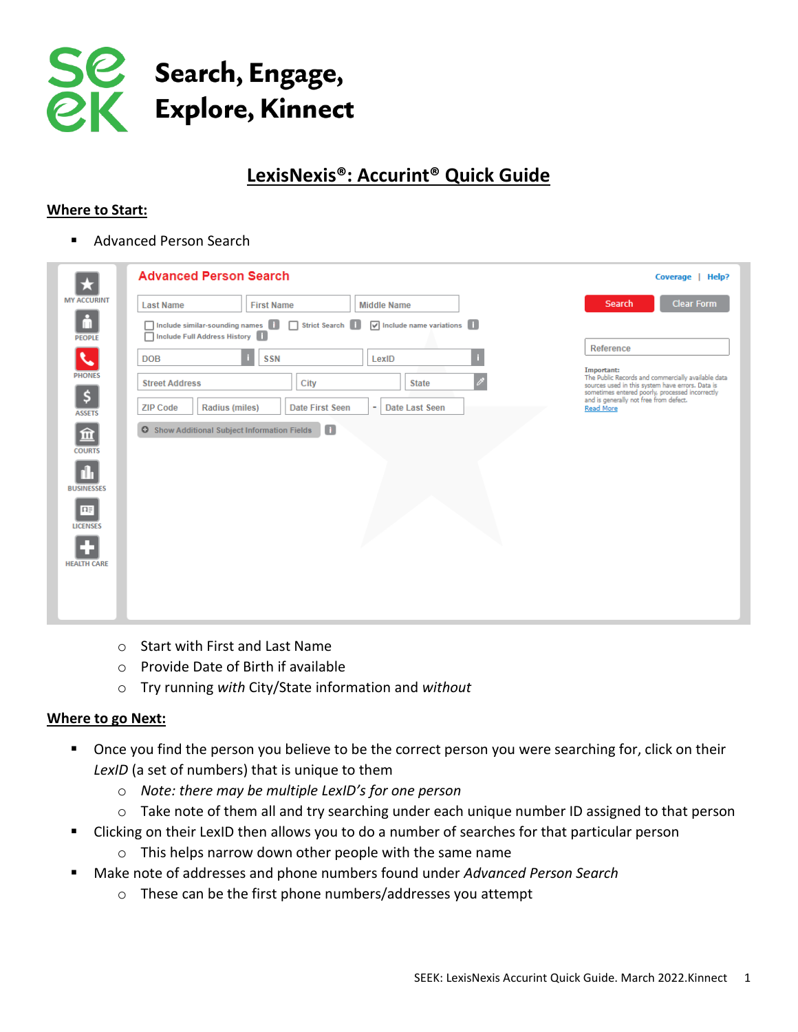

# **LexisNexis®: Accurint® Quick Guide**

### **Where to Start:**

■ Advanced Person Search

| ★                               | <b>Advanced Person Search</b>                                                                                                                                                   | Coverage  <br>Help?                                                                                                                                                                                            |
|---------------------------------|---------------------------------------------------------------------------------------------------------------------------------------------------------------------------------|----------------------------------------------------------------------------------------------------------------------------------------------------------------------------------------------------------------|
| <b>MY ACCURINT</b>              | <b>First Name</b><br><b>Last Name</b><br><b>Middle Name</b>                                                                                                                     | <b>Clear Form</b><br><b>Search</b>                                                                                                                                                                             |
| ò<br><b>PEOPLE</b>              | Include similar-sounding names    <br>$\sqrt{\phantom{a}}$ Include name variations $\begin{bmatrix} 1 \\ 1 \end{bmatrix}$<br>Strict Search<br>Include Full Address History<br>п |                                                                                                                                                                                                                |
| J                               | <b>SSN</b><br><b>DOB</b><br>LexID                                                                                                                                               | Reference                                                                                                                                                                                                      |
| <b>PHONES</b>                   | City<br><b>Street Address</b><br><b>State</b>                                                                                                                                   | Important:<br>The Public Records and commercially available data                                                                                                                                               |
| \$.<br><b>ASSETS</b>            | <b>Radius (miles)</b><br><b>Date First Seen</b><br>Date Last Seen<br><b>ZIP Code</b><br>٠                                                                                       | sources used in this system have errors. Data is<br>sources used in this system have errors. Data is<br>sometimes entered poorly, processed incorrectly<br>and is generally not free from defect.<br>Read More |
| 血<br><b>COURTS</b>              | $\begin{array}{c} \hline \end{array}$<br><b>O</b> Show Additional Subject Information Fields                                                                                    |                                                                                                                                                                                                                |
| <b>BUSINESSES</b>               |                                                                                                                                                                                 |                                                                                                                                                                                                                |
| $\mathbf{n}$<br><b>LICENSES</b> |                                                                                                                                                                                 |                                                                                                                                                                                                                |
| <b>HEALTH CARE</b>              |                                                                                                                                                                                 |                                                                                                                                                                                                                |
|                                 |                                                                                                                                                                                 |                                                                                                                                                                                                                |

- o Start with First and Last Name
- o Provide Date of Birth if available
- o Try running *with* City/State information and *without*

#### **Where to go Next:**

- Once you find the person you believe to be the correct person you were searching for, click on their *LexID* (a set of numbers) that is unique to them
	- o *Note: there may be multiple LexID's for one person*
	- $\circ$  Take note of them all and try searching under each unique number ID assigned to that person
- Clicking on their LexID then allows you to do a number of searches for that particular person
	- o This helps narrow down other people with the same name
- Make note of addresses and phone numbers found under *Advanced Person Search* 
	- o These can be the first phone numbers/addresses you attempt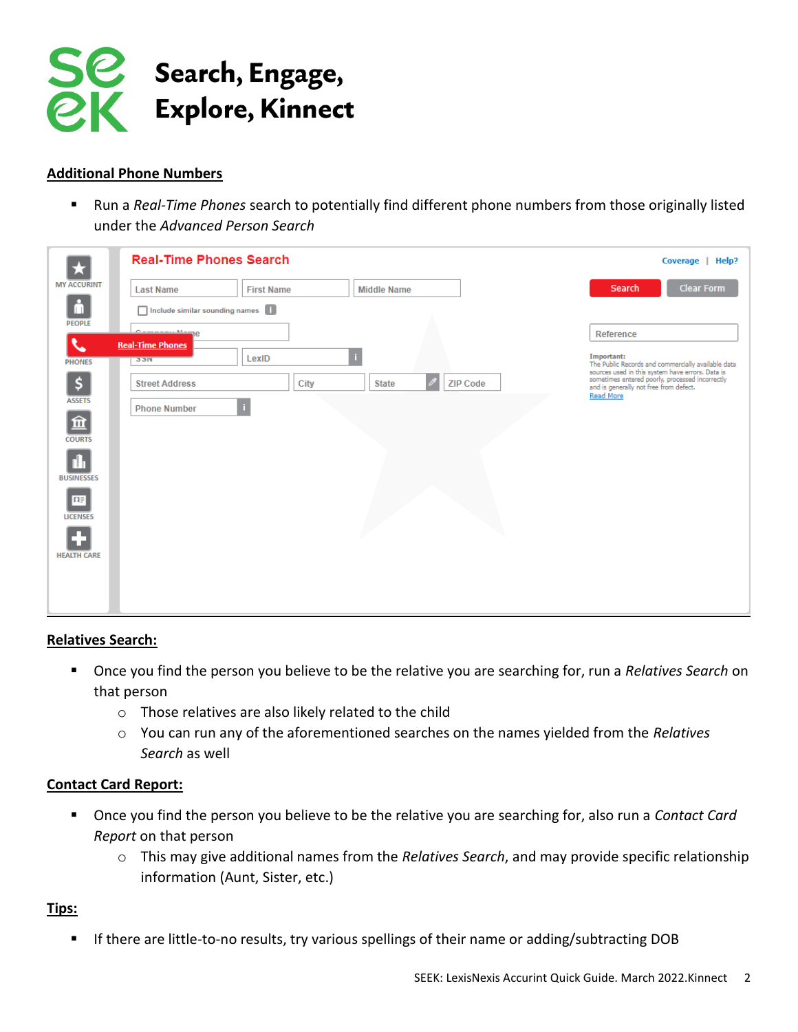

## **Additional Phone Numbers**

■ Run a *Real-Time Phones* search to potentially find different phone numbers from those originally listed under the *Advanced Person Search*

|                                     | <b>Real-Time Phones Search</b>     |                   |                                                  | Coverage   Help?                                                                                                                                                                                               |
|-------------------------------------|------------------------------------|-------------------|--------------------------------------------------|----------------------------------------------------------------------------------------------------------------------------------------------------------------------------------------------------------------|
| <b>MY ACCURINT</b>                  | <b>Last Name</b>                   | <b>First Name</b> | <b>Middle Name</b>                               | <b>Clear Form</b><br>Search                                                                                                                                                                                    |
| ſΠ<br><b>PEOPLE</b>                 | Include similar sounding names [1] |                   |                                                  |                                                                                                                                                                                                                |
|                                     | <u>Camaanii Mamp</u>               |                   |                                                  | Reference                                                                                                                                                                                                      |
| $\blacklozenge$<br><b>PHONES</b>    | <b>Real-Time Phones</b><br>35N     | LexID             |                                                  | Important:<br>The Public Records and commercially available data                                                                                                                                               |
| \$                                  | <b>Street Address</b>              | City              | $\mathscr{P}$<br><b>ZIP Code</b><br><b>State</b> | sources used in this system have errors. Data is<br>sources used in this system have errors. Data is<br>sometimes entered poorly, processed incorrectly<br>and is generally not free from defect.<br>Read More |
| <b>ASSETS</b><br>血<br><b>COURTS</b> | <b>Phone Number</b>                | -i                |                                                  |                                                                                                                                                                                                                |
| <b>BUSINESSES</b>                   |                                    |                   |                                                  |                                                                                                                                                                                                                |
| $\overline{n}$<br><b>LICENSES</b>   |                                    |                   |                                                  |                                                                                                                                                                                                                |
| <b>HEALTH CARE</b>                  |                                    |                   |                                                  |                                                                                                                                                                                                                |
|                                     |                                    |                   |                                                  |                                                                                                                                                                                                                |

### **Relatives Search:**

- Once you find the person you believe to be the relative you are searching for, run a *Relatives Search* on that person
	- o Those relatives are also likely related to the child
	- o You can run any of the aforementioned searches on the names yielded from the *Relatives Search* as well

### **Contact Card Report:**

- Once you find the person you believe to be the relative you are searching for, also run a *Contact Card Report* on that person
	- o This may give additional names from the *Relatives Search*, and may provide specific relationship information (Aunt, Sister, etc.)

## **Tips:**

■ If there are little-to-no results, try various spellings of their name or adding/subtracting DOB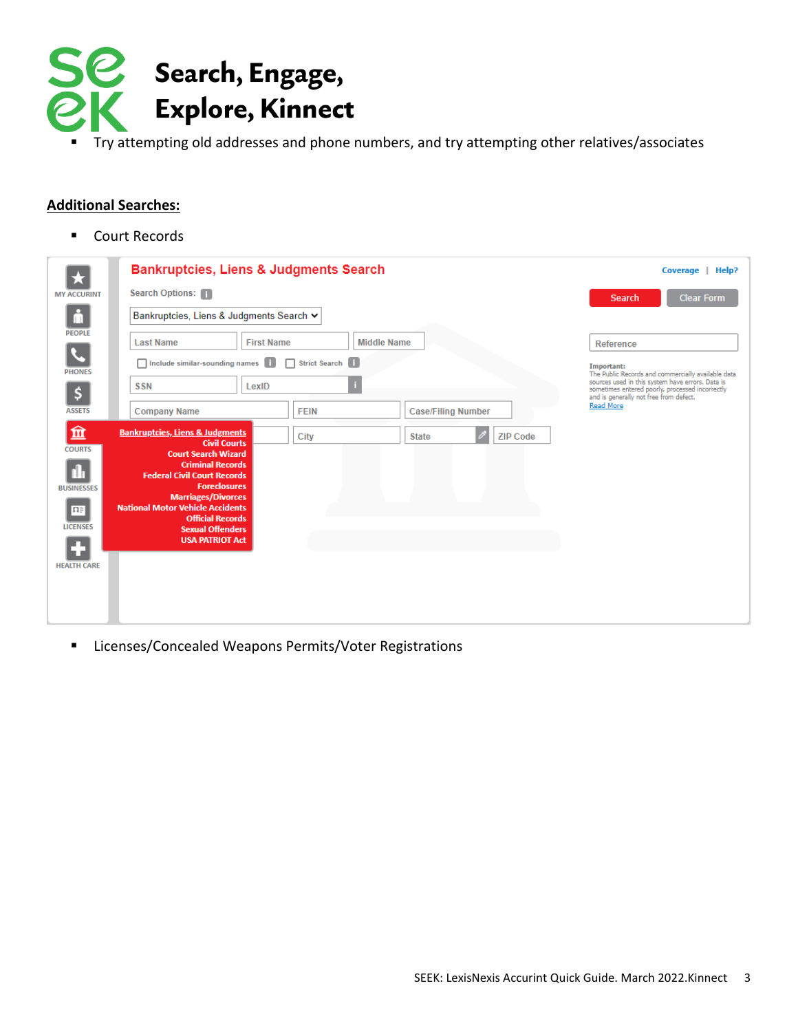

■ Try attempting old addresses and phone numbers, and try attempting other relatives/associates

#### **Additional Searches:**

■ Court Records

|                     | <b>Bankruptcies, Liens &amp; Judgments Search</b>                  |                   |                                 | Help?<br>Coverage                                                                                                                                         |
|---------------------|--------------------------------------------------------------------|-------------------|---------------------------------|-----------------------------------------------------------------------------------------------------------------------------------------------------------|
| <b>MY ACCURINT</b>  | Search Options:                                                    |                   |                                 | <b>Clear Form</b><br>Search                                                                                                                               |
| lΠ                  | Bankruptcies, Liens & Judgments Search V                           |                   |                                 |                                                                                                                                                           |
| <b>PEOPLE</b>       | <b>Last Name</b>                                                   | <b>First Name</b> | <b>Middle Name</b>              | Reference                                                                                                                                                 |
|                     | Include similar-sounding names                                     | Strict Search     |                                 | Important:                                                                                                                                                |
| <b>PHONES</b>       | LexID<br><b>SSN</b>                                                |                   | ٠                               | The Public Records and commercially available data<br>sources used in this system have errors. Data is<br>sometimes entered poorly, processed incorrectly |
| \$<br><b>ASSETS</b> | <b>Company Name</b>                                                | <b>FEIN</b>       | <b>Case/Filing Number</b>       | and is generally not free from defect.<br>Read More                                                                                                       |
| 血                   | <b>Bankruptcies, Liens &amp; Judgments</b>                         | City              | <b>ZIP Code</b><br><b>State</b> |                                                                                                                                                           |
| <b>COURTS</b>       | <b>Civil Courts</b><br><b>Court Search Wizard</b>                  |                   |                                 |                                                                                                                                                           |
|                     | <b>Criminal Records</b><br><b>Federal Civil Court Records</b>      |                   |                                 |                                                                                                                                                           |
| <b>BUSINESSES</b>   | <b>Foreclosures</b><br><b>Marriages/Divorces</b>                   |                   |                                 |                                                                                                                                                           |
| 匪                   | <b>National Motor Vehicle Accidents</b><br><b>Official Records</b> |                   |                                 |                                                                                                                                                           |
| <b>LICENSES</b>     | <b>Sexual Offenders</b><br><b>USA PATRIOT Act</b>                  |                   |                                 |                                                                                                                                                           |
| <b>HEALTH CARE</b>  |                                                                    |                   |                                 |                                                                                                                                                           |
|                     |                                                                    |                   |                                 |                                                                                                                                                           |
|                     |                                                                    |                   |                                 |                                                                                                                                                           |
|                     |                                                                    |                   |                                 |                                                                                                                                                           |

■ Licenses/Concealed Weapons Permits/Voter Registrations